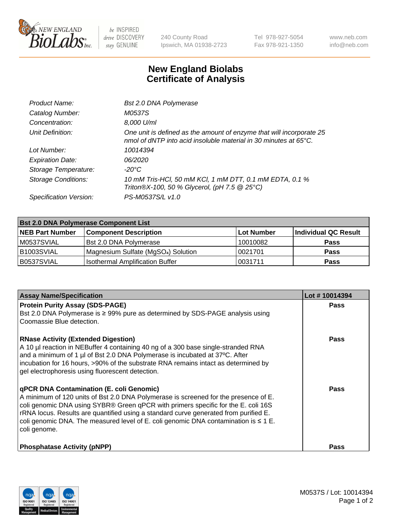

 $be$  INSPIRED drive DISCOVERY stay GENUINE

240 County Road Ipswich, MA 01938-2723 Tel 978-927-5054 Fax 978-921-1350 www.neb.com info@neb.com

## **New England Biolabs Certificate of Analysis**

| Product Name:              | <b>Bst 2.0 DNA Polymerase</b>                                                                                                            |
|----------------------------|------------------------------------------------------------------------------------------------------------------------------------------|
| Catalog Number:            | <i>M0537S</i>                                                                                                                            |
| Concentration:             | 8,000 U/ml                                                                                                                               |
| Unit Definition:           | One unit is defined as the amount of enzyme that will incorporate 25<br>nmol of dNTP into acid insoluble material in 30 minutes at 65°C. |
| Lot Number:                | 10014394                                                                                                                                 |
| <b>Expiration Date:</b>    | 06/2020                                                                                                                                  |
| Storage Temperature:       | $-20^{\circ}$ C                                                                                                                          |
| <b>Storage Conditions:</b> | 10 mM Tris-HCl, 50 mM KCl, 1 mM DTT, 0.1 mM EDTA, 0.1 %<br>Triton®X-100, 50 % Glycerol, (pH 7.5 @ 25°C)                                  |
| Specification Version:     | PS-M0537S/L v1.0                                                                                                                         |

| <b>Bst 2.0 DNA Polymerase Component List</b> |                                                 |            |                      |  |  |
|----------------------------------------------|-------------------------------------------------|------------|----------------------|--|--|
| <b>NEB Part Number</b>                       | <b>Component Description</b>                    | Lot Number | Individual QC Result |  |  |
| M0537SVIAL                                   | <b>Bst 2.0 DNA Polymerase</b>                   | 10010082   | <b>Pass</b>          |  |  |
| B1003SVIAL                                   | Magnesium Sulfate (MgSO <sub>4</sub> ) Solution | 10021701   | <b>Pass</b>          |  |  |
| B0537SVIAL                                   | <b>Isothermal Amplification Buffer</b>          | 0031711    | <b>Pass</b>          |  |  |

| <b>Assay Name/Specification</b>                                                                                                                                                                                                                                                                                                                                                                                                 | Lot #10014394 |
|---------------------------------------------------------------------------------------------------------------------------------------------------------------------------------------------------------------------------------------------------------------------------------------------------------------------------------------------------------------------------------------------------------------------------------|---------------|
| <b>Protein Purity Assay (SDS-PAGE)</b><br>Bst 2.0 DNA Polymerase is $\geq$ 99% pure as determined by SDS-PAGE analysis using<br>Coomassie Blue detection.                                                                                                                                                                                                                                                                       | <b>Pass</b>   |
| <b>RNase Activity (Extended Digestion)</b><br>A 10 µl reaction in NEBuffer 4 containing 40 ng of a 300 base single-stranded RNA<br>and a minimum of 1 µl of Bst 2.0 DNA Polymerase is incubated at 37°C. After<br>incubation for 16 hours, >90% of the substrate RNA remains intact as determined by<br>gel electrophoresis using fluorescent detection.                                                                        | <b>Pass</b>   |
| <b>qPCR DNA Contamination (E. coli Genomic)</b><br>A minimum of 120 units of Bst 2.0 DNA Polymerase is screened for the presence of E.<br>coli genomic DNA using SYBR® Green qPCR with primers specific for the E. coli 16S<br>rRNA locus. Results are quantified using a standard curve generated from purified E.<br>coli genomic DNA. The measured level of E. coli genomic DNA contamination is $\leq 1$ E.<br>coli genome. | Pass          |
| <b>Phosphatase Activity (pNPP)</b>                                                                                                                                                                                                                                                                                                                                                                                              | Pass          |